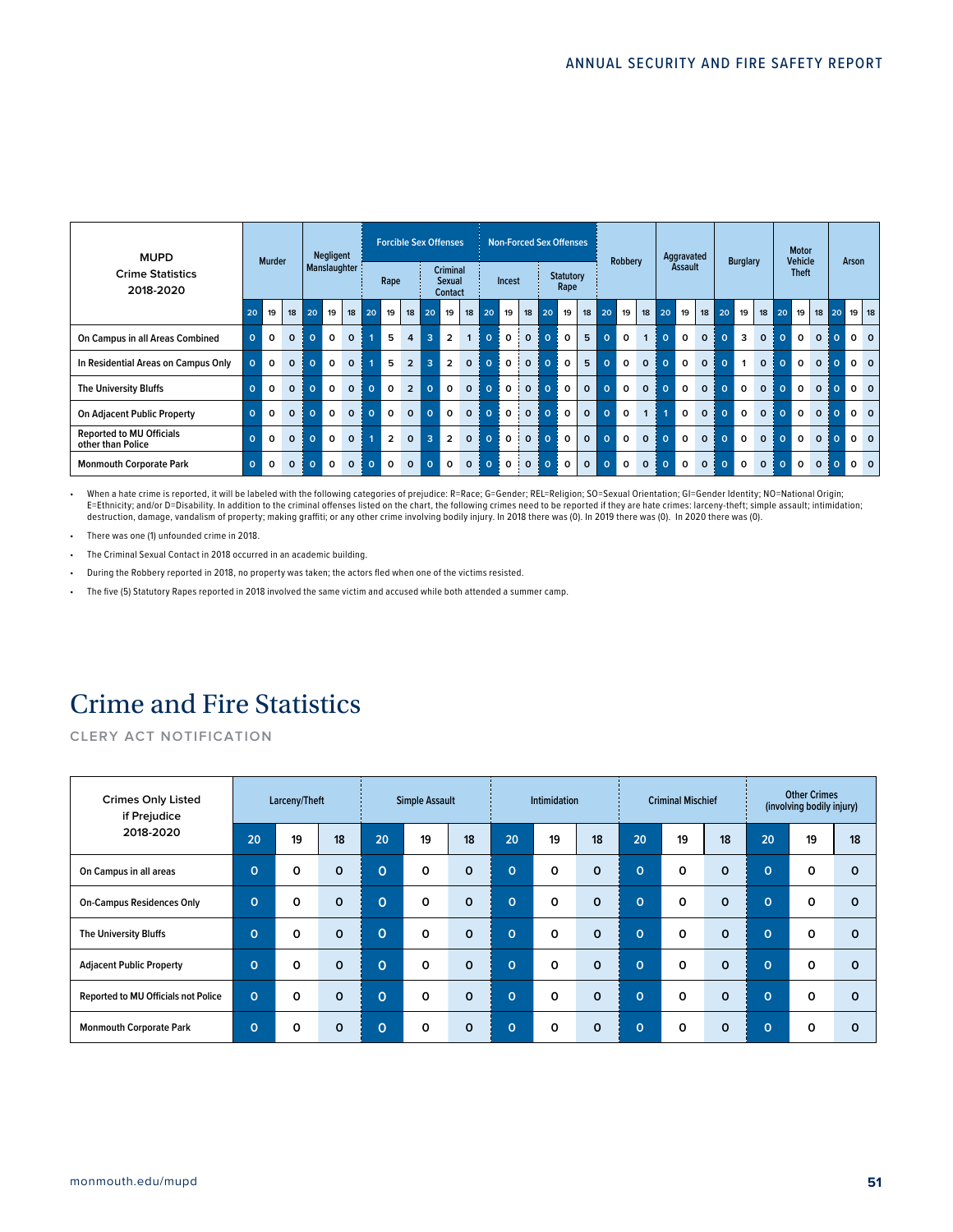| <b>MUPD</b>                                          |              | <b>Murder</b> |          | <b>Negligent</b> |              | <b>Forcible Sex Offenses</b> |          |                |                |                |                                                    | <b>Non-Forced Sex Offenses</b> |          |          |                  | Robbery  |                          | Aggravated   |          | <b>Burglary</b> |              | <b>Motor</b><br><b>Vehicle</b> |                | Arson        |          |              |              |          |              |              |              |                |       |
|------------------------------------------------------|--------------|---------------|----------|------------------|--------------|------------------------------|----------|----------------|----------------|----------------|----------------------------------------------------|--------------------------------|----------|----------|------------------|----------|--------------------------|--------------|----------|-----------------|--------------|--------------------------------|----------------|--------------|----------|--------------|--------------|----------|--------------|--------------|--------------|----------------|-------|
| <b>Crime Statistics</b><br>2018-2020                 |              |               |          |                  | Manslaughter |                              |          | Rape           |                |                | <b>Criminal</b><br><b>Sexual</b><br><b>Contact</b> |                                |          | Incest   |                  |          | <b>Statutory</b><br>Rape |              |          |                 |              |                                | <b>Assault</b> |              |          |              |              |          | <b>Theft</b> |              |              |                |       |
|                                                      | 20           | 19            | 18       | 20               | 19           | 18                           | 20       | 19             | 18             | 20             | 19                                                 | 18                             | 20       | 19       | 18               | 20       | 19                       | 18           | 20       | 19              | 18           | 20                             | 19             | 18           | 20       | 19           | 18           | 20       | 19           | 18           | l 20         |                | 19 18 |
| On Campus in all Areas Combined                      | $\mathbf{o}$ | 0             | $\Omega$ | $\Omega$         | 0            | $\Omega$                     |          | 5              | 4              | $\overline{3}$ | $\overline{2}$                                     | 1                              | $\Omega$ | $\Omega$ | $\Omega$         | $\Omega$ | $\Omega$                 | 5            | $\Omega$ | $\Omega$        | 1            | $\Omega$                       | 0              | $\Omega$     | $\Omega$ | 3            | $\Omega$     | $\Omega$ | $\Omega$     | $\Omega$     | $\Omega$     | 0 <sub>0</sub> |       |
| In Residential Areas on Campus Only                  | $\Omega$     | 0             | $\Omega$ | $\Omega$         | $\Omega$     | $\Omega$                     |          | 5              | $\overline{2}$ | $\overline{3}$ | $\overline{2}$                                     | $\Omega$                       | $\Omega$ | 0        | $\mathbf{o}$     | $\circ$  | $\Omega$                 | 5            | $\Omega$ | $\Omega$        | $\mathbf{o}$ | $\Omega$                       | 0              | $\mathbf{o}$ | $\Omega$ | $\mathbf{1}$ | $\Omega$     | $\Omega$ | $\Omega$     | $\mathbf{o}$ | $\mathbf{O}$ | 0 <sub>0</sub> |       |
| <b>The University Bluffs</b>                         | $\Omega$     | $\Omega$      | $\Omega$ | $\Omega$         | $\Omega$     | $\Omega$                     | $\Omega$ | $\Omega$       | $\overline{2}$ | $\mathbf{o}$   | $\Omega$                                           | $\Omega$                       | $\Omega$ | $\Omega$ | $\mathbf{o}$     | $\Omega$ | $\Omega$                 | $\Omega$     | $\Omega$ | $\Omega$        | $\Omega$     | $\Omega$                       | 0              | $\Omega$     | $\Omega$ | $\Omega$     | $\Omega$     | $\Omega$ | $\Omega$     | $\Omega$     | $\Omega$     | 0 <sub>0</sub> |       |
| <b>On Adjacent Public Property</b>                   | $\Omega$     | $\Omega$      | $\Omega$ | $\Omega$         | $\Omega$     | $\Omega$                     | $\Omega$ | $\Omega$       | $\Omega$       | $\mathbf{o}$   | $\Omega$                                           | $\Omega$                       | $\Omega$ | $\Omega$ | $\mathbf{o}$     | $\Omega$ | $\Omega$                 | $\Omega$     | $\Omega$ | $\Omega$        | $\mathbf{1}$ |                                | 0              | $\Omega$     | $\Omega$ | $\Omega$     | $\Omega$     | $\Omega$ | $\Omega$     | $\Omega$     | $\Omega$     | 0 <sub>0</sub> |       |
| <b>Reported to MU Officials</b><br>other than Police | $\Omega$     | $\Omega$      | $\Omega$ | $\Omega$         | $\Omega$     | $\Omega$                     |          | $\overline{2}$ | $\Omega$       | $\overline{3}$ | $\overline{2}$                                     | $\Omega$                       | $\circ$  | $\Omega$ | $\overline{1}$ 0 | $\Omega$ | $\Omega$                 | $\Omega$     | $\Omega$ | $\Omega$        | $\Omega$     | $\Omega$                       | $\Omega$       | $\Omega$     | $\Omega$ | $\Omega$     | $\Omega$     | $\Omega$ | $\Omega$     | $\Omega$     | $\Omega$     | 0 <sub>0</sub> |       |
| <b>Monmouth Corporate Park</b>                       | $\Omega$     | 0             | $\Omega$ | $\Omega$         | 0            | $\Omega$                     | $\Omega$ | 0              | $\Omega$       | $\mathbf 0$    | $\Omega$                                           | $\mathbf{o}$                   | $\Omega$ | 0        | $\mathbf 0$      | $\Omega$ | O                        | $\mathbf{o}$ | $\Omega$ | $\Omega$        | 0            | $\Omega$                       | 0              | $\mathbf{o}$ | $\Omega$ | 0            | $\mathbf{o}$ | $\Omega$ | $\Omega$     | $\mathbf{o}$ | $\mathbf{O}$ | 0 <sub>0</sub> |       |

• When a hate crime is reported, it will be labeled with the following categories of prejudice: R=Race; G=Gender; REL=Religion; SO=Sexual Orientation; GI=Gender Identity; NO=National Origin; E=Ethnicity; and/or D=Disability. In addition to the criminal offenses listed on the chart, the following crimes need to be reported if they are hate crimes: larceny-theft; simple assault; intimidation;<br>destruction, damage

- There was one (1) unfounded crime in 2018.
- The Criminal Sexual Contact in 2018 occurred in an academic building.
- During the Robbery reported in 2018, no property was taken; the actors fled when one of the victims resisted.
- The five (5) Statutory Rapes reported in 2018 involved the same victim and accused while both attended a summer camp.

### Crime and Fire Statistics

**CLERY ACT NOTIFICATION**

| <b>Crimes Only Listed</b><br>if Prejudice  |             | Larceny/Theft |          | <b>Simple Assault</b> |          |          |                | <b>Intimidation</b> |             |          | <b>Criminal Mischief</b> |          | <b>Other Crimes</b><br>(involving bodily injury) |          |          |  |
|--------------------------------------------|-------------|---------------|----------|-----------------------|----------|----------|----------------|---------------------|-------------|----------|--------------------------|----------|--------------------------------------------------|----------|----------|--|
| 2018-2020                                  | 20          | 19            | 18       | 20                    | 19       | 18       | 20             | 19                  | 18          | 20       | 19                       | 18       | 20                                               | 19       | 18       |  |
| On Campus in all areas                     | 0           | $\Omega$      | $\Omega$ | $\Omega$              | $\Omega$ | $\Omega$ | $\Omega$       | $\Omega$            | $\Omega$    | $\Omega$ | $\Omega$                 | $\Omega$ | $\Omega$                                         | O        | $\Omega$ |  |
| <b>On-Campus Residences Only</b>           | $\mathbf 0$ | 0             | $\Omega$ | $\Omega$              | 0        | $\Omega$ | Ō              | 0                   | $\Omega$    | $\Omega$ | $\Omega$                 | $\Omega$ | $\Omega$                                         | 0        | $\Omega$ |  |
| <b>The University Bluffs</b>               | $\Omega$    | $\Omega$      | $\Omega$ | $\Omega$              | $\Omega$ | $\Omega$ | $\mathbf{O}$   | $\Omega$            | $\Omega$    | $\Omega$ | $\Omega$                 | $\Omega$ | $\overline{O}$                                   | $\Omega$ | $\Omega$ |  |
| <b>Adjacent Public Property</b>            | $\Omega$    | $\Omega$      | $\Omega$ | $\Omega$              | $\Omega$ | $\Omega$ | $\overline{0}$ | $\Omega$            | $\Omega$    | $\Omega$ | $\Omega$                 | $\Omega$ | $\Omega$                                         | O        | $\Omega$ |  |
| <b>Reported to MU Officials not Police</b> | $\Omega$    | $\Omega$      | $\Omega$ | $\Omega$              | 0        | $\Omega$ | $\Omega$       | $\Omega$            | $\Omega$    | $\Omega$ | $\Omega$                 | $\Omega$ | $\Omega$                                         | O        | $\Omega$ |  |
| <b>Monmouth Corporate Park</b>             | $\Omega$    | $\Omega$      | $\Omega$ | $\Omega$              | 0        | $\Omega$ | $\mathbf{O}$   | $\Omega$            | $\mathbf 0$ | $\Omega$ | $\Omega$                 | $\Omega$ | $\Omega$                                         | 0        | $\Omega$ |  |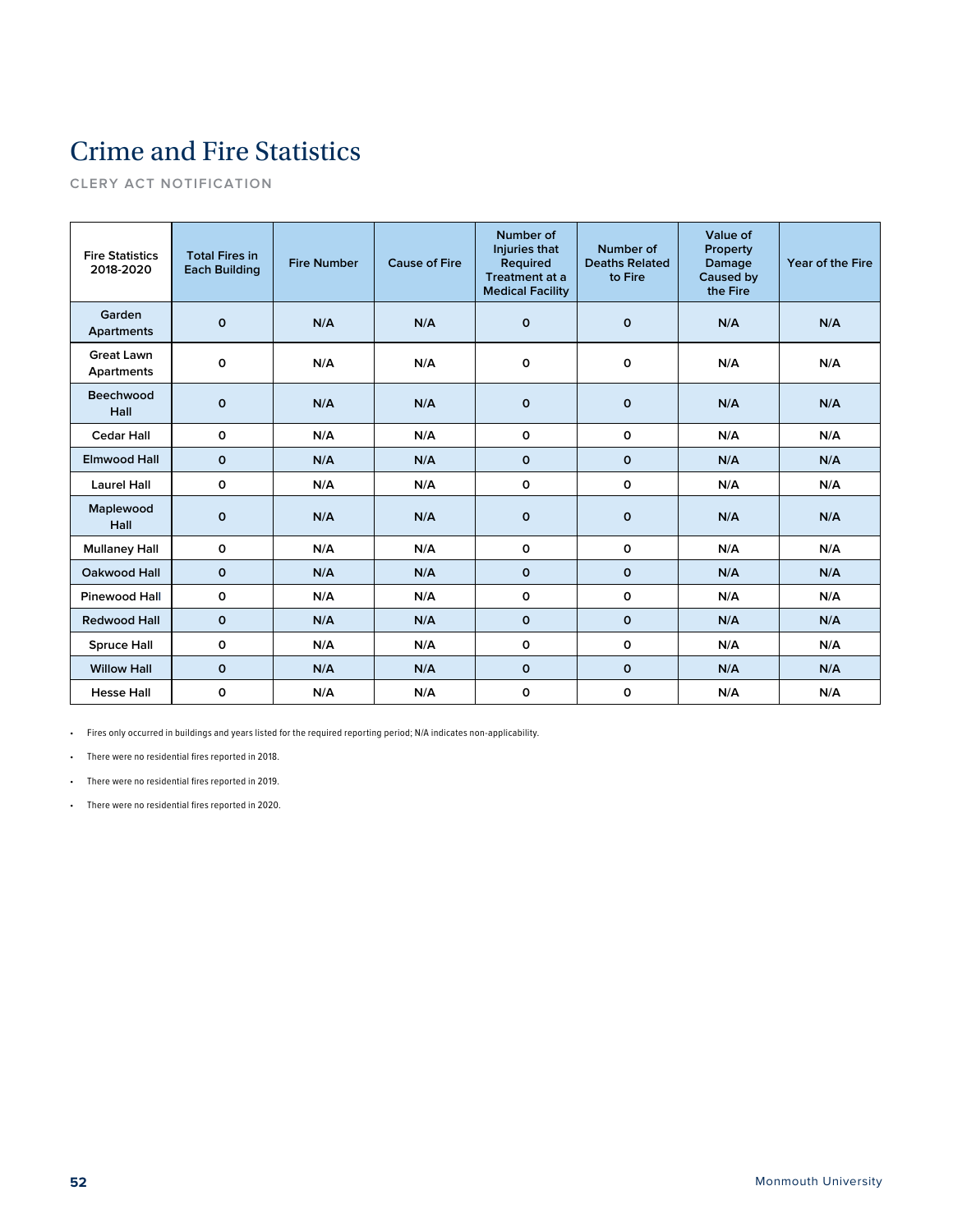# Crime and Fire Statistics

**CLERY ACT NOTIFICATION**

| <b>Fire Statistics</b><br>2018-2020 | <b>Total Fires in</b><br><b>Each Building</b> | <b>Fire Number</b> | <b>Cause of Fire</b> | Number of<br>Injuries that<br>Required<br>Treatment at a<br><b>Medical Facility</b> | Number of<br><b>Deaths Related</b><br>to Fire | Value of<br>Property<br>Damage<br>Caused by<br>the Fire | Year of the Fire |
|-------------------------------------|-----------------------------------------------|--------------------|----------------------|-------------------------------------------------------------------------------------|-----------------------------------------------|---------------------------------------------------------|------------------|
| Garden<br><b>Apartments</b>         | 0                                             | N/A                | N/A                  | $\mathbf 0$                                                                         | $\mathbf 0$                                   | N/A                                                     | N/A              |
| <b>Great Lawn</b><br>Apartments     | 0                                             | N/A                | N/A                  | 0                                                                                   | 0                                             | N/A                                                     | N/A              |
| Beechwood<br>Hall                   | $\mathbf{o}$                                  | N/A                | N/A                  | $\mathbf 0$                                                                         | $\mathbf 0$                                   | N/A                                                     | N/A              |
| <b>Cedar Hall</b>                   | 0                                             | N/A                | N/A                  | $\mathbf 0$                                                                         | 0                                             | N/A                                                     | N/A              |
| <b>Elmwood Hall</b>                 | $\mathbf{o}$                                  | N/A                | N/A                  | $\mathbf{o}$                                                                        | $\mathbf 0$                                   | N/A                                                     | N/A              |
| <b>Laurel Hall</b>                  | 0                                             | N/A                | N/A                  | o                                                                                   | 0                                             | N/A                                                     | N/A              |
| Maplewood<br>Hall                   | 0                                             | N/A                | N/A                  | $\mathbf 0$                                                                         | $\mathbf{o}$                                  | N/A                                                     | N/A              |
| <b>Mullaney Hall</b>                | 0                                             | N/A                | N/A                  | 0                                                                                   | 0                                             | N/A                                                     | N/A              |
| Oakwood Hall                        | $\mathbf 0$                                   | N/A                | N/A                  | $\mathbf{o}$                                                                        | $\mathbf 0$                                   | N/A                                                     | N/A              |
| <b>Pinewood Hall</b>                | 0                                             | N/A                | N/A                  | $\mathbf 0$                                                                         | 0                                             | N/A                                                     | N/A              |
| <b>Redwood Hall</b>                 | $\mathbf 0$                                   | N/A                | N/A                  | $\mathbf 0$                                                                         | $\mathbf 0$                                   | N/A                                                     | N/A              |
| <b>Spruce Hall</b>                  | 0                                             | N/A                | N/A                  | o                                                                                   | 0                                             | N/A                                                     | N/A              |
| <b>Willow Hall</b>                  | $\mathbf{o}$                                  | N/A                | N/A                  | $\mathbf 0$                                                                         | $\mathbf 0$                                   | N/A                                                     | N/A              |
| <b>Hesse Hall</b>                   | O                                             | N/A                | N/A                  | O                                                                                   | 0                                             | N/A                                                     | N/A              |

• Fires only occurred in buildings and years listed for the required reporting period; N/A indicates non-applicability.

• There were no residential fires reported in 2018.

• There were no residential fires reported in 2019.

• There were no residential fires reported in 2020.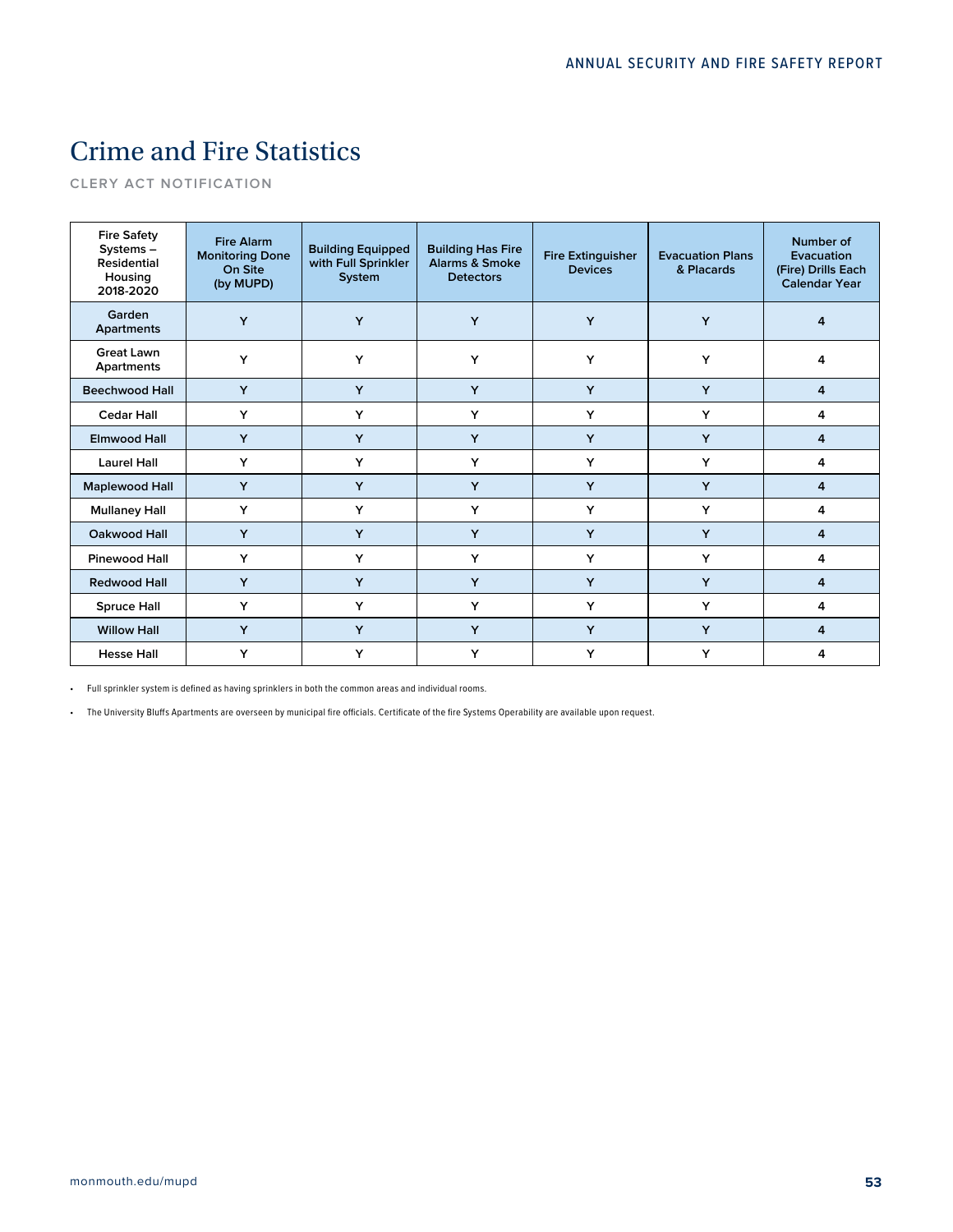## Crime and Fire Statistics

**CLERY ACT NOTIFICATION**

| <b>Fire Safety</b><br>Systems-<br><b>Residential</b><br>Housing<br>2018-2020 | <b>Fire Alarm</b><br><b>Monitoring Done</b><br>On Site<br>(by MUPD) | <b>Building Equipped</b><br>with Full Sprinkler<br>System | <b>Building Has Fire</b><br><b>Alarms &amp; Smoke</b><br><b>Detectors</b> | <b>Fire Extinguisher</b><br><b>Devices</b> | <b>Evacuation Plans</b><br>& Placards | Number of<br>Evacuation<br>(Fire) Drills Each<br><b>Calendar Year</b> |
|------------------------------------------------------------------------------|---------------------------------------------------------------------|-----------------------------------------------------------|---------------------------------------------------------------------------|--------------------------------------------|---------------------------------------|-----------------------------------------------------------------------|
| Garden<br><b>Apartments</b>                                                  | Y                                                                   | Y                                                         | Y                                                                         | Y                                          | Y                                     | 4                                                                     |
| <b>Great Lawn</b><br>Apartments                                              | Y                                                                   | Y                                                         | Y                                                                         | Y                                          | Y                                     | 4                                                                     |
| <b>Beechwood Hall</b>                                                        | Y                                                                   | Y                                                         | Y                                                                         | Y                                          | Y                                     | 4                                                                     |
| <b>Cedar Hall</b>                                                            | Y                                                                   | Y                                                         | Y                                                                         | Y                                          | Y                                     | 4                                                                     |
| <b>Elmwood Hall</b>                                                          | Y                                                                   | Y                                                         | Y                                                                         | Y                                          | Y                                     | 4                                                                     |
| <b>Laurel Hall</b>                                                           | Y                                                                   | Y                                                         | Y                                                                         | Y                                          | Y                                     | 4                                                                     |
| <b>Maplewood Hall</b>                                                        | Y                                                                   | Y                                                         | Y                                                                         | Y                                          | Y                                     | 4                                                                     |
| <b>Mullaney Hall</b>                                                         | Y                                                                   | Y                                                         | Y                                                                         | Y                                          | Y                                     | 4                                                                     |
| Oakwood Hall                                                                 | Y                                                                   | Y                                                         | Y                                                                         | Y                                          | Y                                     | 4                                                                     |
| <b>Pinewood Hall</b>                                                         | Y                                                                   | Y                                                         | Y                                                                         | Y                                          | Y                                     | 4                                                                     |
| <b>Redwood Hall</b>                                                          | Y                                                                   | Y                                                         | Y                                                                         | Y                                          | Y                                     | 4                                                                     |
| <b>Spruce Hall</b>                                                           | Y                                                                   | Y                                                         | Y                                                                         | Y                                          | Y                                     | 4                                                                     |
| <b>Willow Hall</b>                                                           | Y                                                                   | Y                                                         | Y                                                                         | Y                                          | Y                                     | 4                                                                     |
| <b>Hesse Hall</b>                                                            | Y                                                                   | Y                                                         | Y                                                                         | Y                                          | Y                                     | 4                                                                     |

• Full sprinkler system is defined as having sprinklers in both the common areas and individual rooms.

• The University Bluffs Apartments are overseen by municipal fire officials. Certificate of the fire Systems Operability are available upon request.